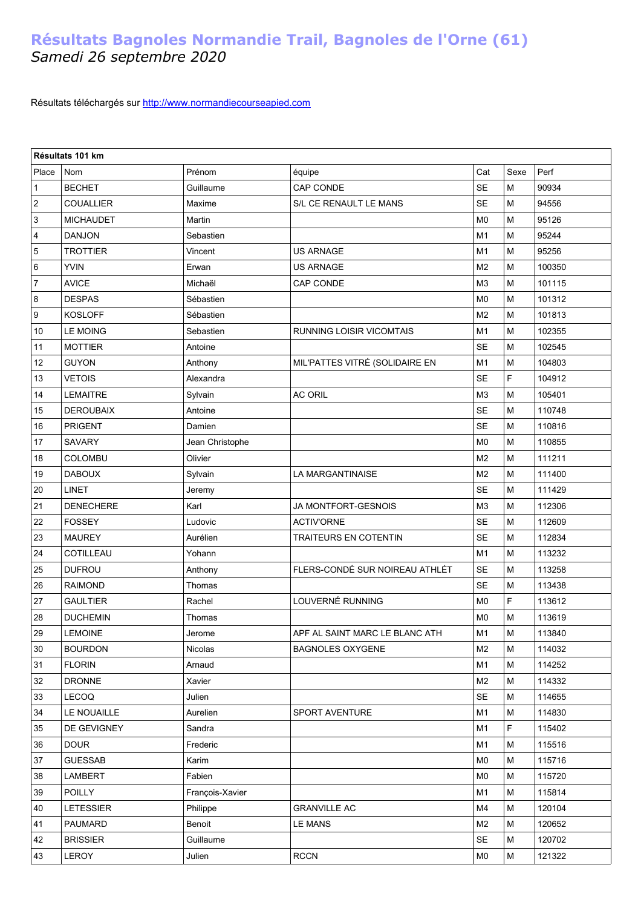## **Résultats Bagnoles Normandie Trail, Bagnoles de l'Orne (61)**  *Samedi 26 septembre 2020*

Résultats téléchargés sur [http://www.normandiecourseapied.com](http://www.normandiecourseapied.com/)

| Résultats 101 km          |                  |                 |                                 |                |                                                                                       |        |  |
|---------------------------|------------------|-----------------|---------------------------------|----------------|---------------------------------------------------------------------------------------|--------|--|
| Place                     | <b>Nom</b>       | Prénom          | équipe                          | Cat            | Sexe                                                                                  | Perf   |  |
| 1                         | <b>BECHET</b>    | Guillaume       | CAP CONDE                       | <b>SE</b>      | M                                                                                     | 90934  |  |
| $\sqrt{2}$                | <b>COUALLIER</b> | Maxime          | S/L CE RENAULT LE MANS          | <b>SE</b>      | M                                                                                     | 94556  |  |
| $\ensuremath{\mathsf{3}}$ | <b>MICHAUDET</b> | Martin          |                                 | M <sub>0</sub> | M                                                                                     | 95126  |  |
| $\overline{\mathbf{4}}$   | <b>DANJON</b>    | Sebastien       |                                 | M <sub>1</sub> | M                                                                                     | 95244  |  |
| $\mathbf 5$               | <b>TROTTIER</b>  | Vincent         | <b>US ARNAGE</b>                | M1             | M                                                                                     | 95256  |  |
| 6                         | <b>YVIN</b>      | Erwan           | <b>US ARNAGE</b>                | M <sub>2</sub> | M                                                                                     | 100350 |  |
| $\overline{7}$            | <b>AVICE</b>     | Michaël         | CAP CONDE                       | M <sub>3</sub> | M                                                                                     | 101115 |  |
| 8                         | <b>DESPAS</b>    | Sébastien       |                                 | M <sub>0</sub> | M                                                                                     | 101312 |  |
| 9                         | <b>KOSLOFF</b>   | Sébastien       |                                 | M <sub>2</sub> | M                                                                                     | 101813 |  |
| 10                        | <b>LE MOING</b>  | Sebastien       | <b>RUNNING LOISIR VICOMTAIS</b> | M <sub>1</sub> | M                                                                                     | 102355 |  |
| 11                        | <b>MOTTIER</b>   | Antoine         |                                 | <b>SE</b>      | M                                                                                     | 102545 |  |
| 12                        | <b>GUYON</b>     | Anthony         | MIL'PATTES VITRÉ (SOLIDAIRE EN  | M1             | M                                                                                     | 104803 |  |
| 13                        | <b>VETOIS</b>    | Alexandra       |                                 | <b>SE</b>      | F                                                                                     | 104912 |  |
| 14                        | <b>LEMAITRE</b>  | Sylvain         | <b>AC ORIL</b>                  | M <sub>3</sub> | M                                                                                     | 105401 |  |
| 15                        | <b>DEROUBAIX</b> | Antoine         |                                 | <b>SE</b>      | M                                                                                     | 110748 |  |
| 16                        | <b>PRIGENT</b>   | Damien          |                                 | <b>SE</b>      | M                                                                                     | 110816 |  |
| 17                        | <b>SAVARY</b>    | Jean Christophe |                                 | M <sub>0</sub> | M                                                                                     | 110855 |  |
| 18                        | COLOMBU          | Olivier         |                                 | M <sub>2</sub> | M                                                                                     | 111211 |  |
| 19                        | <b>DABOUX</b>    | Sylvain         | LA MARGANTINAISE                | M <sub>2</sub> | M                                                                                     | 111400 |  |
| 20                        | <b>LINET</b>     | Jeremy          |                                 | <b>SE</b>      | M                                                                                     | 111429 |  |
| 21                        | <b>DENECHERE</b> | Karl            | JA MONTFORT-GESNOIS             | M <sub>3</sub> | M                                                                                     | 112306 |  |
| 22                        | <b>FOSSEY</b>    | Ludovic         | <b>ACTIV'ORNE</b>               | <b>SE</b>      | M                                                                                     | 112609 |  |
| 23                        | <b>MAUREY</b>    | Aurélien        | TRAITEURS EN COTENTIN           | <b>SE</b>      | M                                                                                     | 112834 |  |
| 24                        | COTILLEAU        | Yohann          |                                 | M1             | M                                                                                     | 113232 |  |
| 25                        | <b>DUFROU</b>    | Anthony         | FLERS-CONDÉ SUR NOIREAU ATHLÉT  | <b>SE</b>      | M                                                                                     | 113258 |  |
| 26                        | <b>RAIMOND</b>   | Thomas          |                                 | <b>SE</b>      | M                                                                                     | 113438 |  |
| 27                        | <b>GAULTIER</b>  | Rachel          | LOUVERNÉ RUNNING                | M <sub>0</sub> | F                                                                                     | 113612 |  |
| 28                        | <b>DUCHEMIN</b>  | Thomas          |                                 | M <sub>0</sub> | M                                                                                     | 113619 |  |
| $29\,$                    | LEMOINE          | Jerome          | APF AL SAINT MARC LE BLANC ATH  | M1             | $\mathsf{M}% _{T}=\mathsf{M}_{T}\!\left( a,b\right) ,\ \mathsf{M}_{T}=\mathsf{M}_{T}$ | 113840 |  |
| 30                        | <b>BOURDON</b>   | <b>Nicolas</b>  | <b>BAGNOLES OXYGENE</b>         | M2             | м                                                                                     | 114032 |  |
| 31                        | <b>FLORIN</b>    | Arnaud          |                                 | M <sub>1</sub> | M                                                                                     | 114252 |  |
| 32                        | <b>DRONNE</b>    | Xavier          |                                 | M <sub>2</sub> | M                                                                                     | 114332 |  |
| 33                        | <b>LECOQ</b>     | Julien          |                                 | <b>SE</b>      | М                                                                                     | 114655 |  |
| 34                        | LE NOUAILLE      | Aurelien        | SPORT AVENTURE                  | M1             | М                                                                                     | 114830 |  |
| 35                        | DE GEVIGNEY      | Sandra          |                                 | M1             | F                                                                                     | 115402 |  |
| 36                        | <b>DOUR</b>      | Frederic        |                                 | M1             | М                                                                                     | 115516 |  |
| 37                        | <b>GUESSAB</b>   | Karim           |                                 | M <sub>0</sub> | M                                                                                     | 115716 |  |
| 38                        | LAMBERT          | Fabien          |                                 | M <sub>0</sub> | M                                                                                     | 115720 |  |
| 39                        | POILLY           | François-Xavier |                                 | M <sub>1</sub> | M                                                                                     | 115814 |  |
| 40                        | <b>LETESSIER</b> | Philippe        | <b>GRANVILLE AC</b>             | M4             | M                                                                                     | 120104 |  |
| 41                        | PAUMARD          | Benoit          | LE MANS                         | M <sub>2</sub> | М                                                                                     | 120652 |  |
| 42                        | <b>BRISSIER</b>  | Guillaume       |                                 | <b>SE</b>      | M                                                                                     | 120702 |  |
| 43                        | LEROY            | Julien          | <b>RCCN</b>                     | M <sub>0</sub> | M                                                                                     | 121322 |  |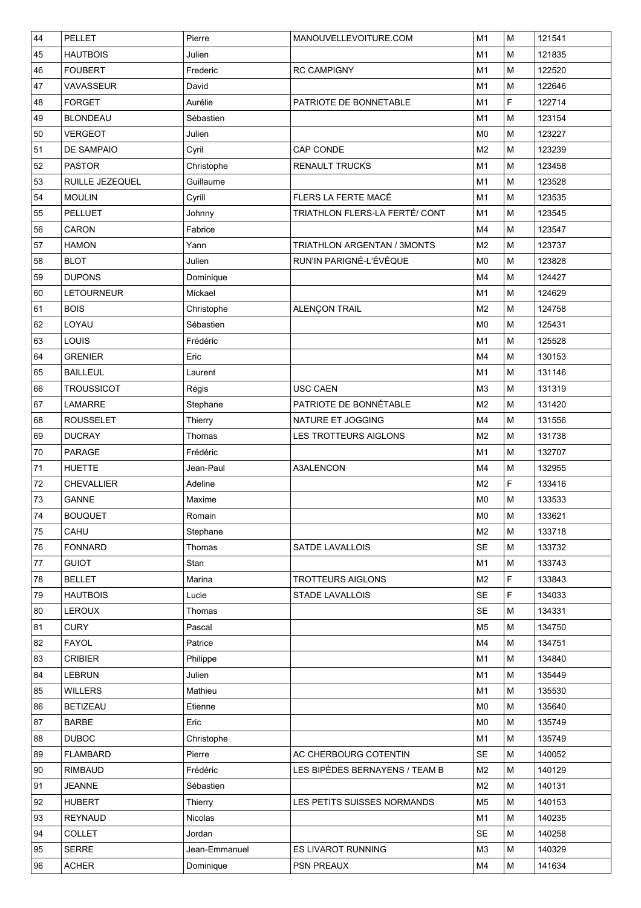| 44 | PELLET            | Pierre        | MANOUVELLEVOITURE.COM              | M1             | M                                                                                     | 121541 |
|----|-------------------|---------------|------------------------------------|----------------|---------------------------------------------------------------------------------------|--------|
| 45 | <b>HAUTBOIS</b>   | Julien        |                                    | M1             | м                                                                                     | 121835 |
| 46 | <b>FOUBERT</b>    | Frederic      | <b>RC CAMPIGNY</b>                 | M1             | M                                                                                     | 122520 |
| 47 | VAVASSEUR         | David         |                                    | M1             | M                                                                                     | 122646 |
| 48 | <b>FORGET</b>     | Aurélie       | PATRIOTE DE BONNETABLE             | M1             | F                                                                                     | 122714 |
| 49 | <b>BLONDEAU</b>   | Sébastien     |                                    | M1             | M                                                                                     | 123154 |
| 50 | <b>VERGEOT</b>    | Julien        |                                    | M <sub>0</sub> | м                                                                                     | 123227 |
| 51 | <b>DE SAMPAIO</b> | Cyril         | CAP CONDE                          | M <sub>2</sub> | м                                                                                     | 123239 |
| 52 | <b>PASTOR</b>     | Christophe    | <b>RENAULT TRUCKS</b>              | M1             | M                                                                                     | 123458 |
| 53 | RUILLE JEZEQUEL   | Guillaume     |                                    | M <sub>1</sub> | M                                                                                     | 123528 |
| 54 | <b>MOULIN</b>     | Cyrill        | FLERS LA FERTE MACÉ                | M1             | M                                                                                     | 123535 |
| 55 | <b>PELLUET</b>    | Johnny        | TRIATHLON FLERS-LA FERTÉ/ CONT     | M <sub>1</sub> | M                                                                                     | 123545 |
| 56 | CARON             | Fabrice       |                                    | M4             | M                                                                                     | 123547 |
| 57 | <b>HAMON</b>      | Yann          | <b>TRIATHLON ARGENTAN / 3MONTS</b> | M <sub>2</sub> | M                                                                                     | 123737 |
| 58 | <b>BLOT</b>       | Julien        | RUN'IN PARIGNÉ-L'ÉVÊQUE            | M <sub>0</sub> | M                                                                                     | 123828 |
| 59 | <b>DUPONS</b>     | Dominique     |                                    | M4             | M                                                                                     | 124427 |
| 60 | <b>LETOURNEUR</b> | Mickael       |                                    | M1             | M                                                                                     | 124629 |
| 61 | <b>BOIS</b>       | Christophe    | ALENÇON TRAIL                      | M <sub>2</sub> | M                                                                                     | 124758 |
| 62 | LOYAU             | Sébastien     |                                    | M <sub>0</sub> | M                                                                                     | 125431 |
| 63 | LOUIS             | Frédéric      |                                    | M1             | M                                                                                     | 125528 |
| 64 | <b>GRENIER</b>    | Eric          |                                    | M4             | м                                                                                     | 130153 |
| 65 | <b>BAILLEUL</b>   | Laurent       |                                    | M <sub>1</sub> | M                                                                                     | 131146 |
| 66 | <b>TROUSSICOT</b> | Régis         | <b>USC CAEN</b>                    | M <sub>3</sub> | M                                                                                     | 131319 |
| 67 | LAMARRE           | Stephane      | PATRIOTE DE BONNÉTABLE             | M <sub>2</sub> | M                                                                                     | 131420 |
| 68 | <b>ROUSSELET</b>  | Thierry       | NATURE ET JOGGING                  | M4             | M                                                                                     | 131556 |
| 69 | <b>DUCRAY</b>     | Thomas        | LES TROTTEURS AIGLONS              | M <sub>2</sub> | м                                                                                     | 131738 |
| 70 | <b>PARAGE</b>     | Frédéric      |                                    | M1             | M                                                                                     | 132707 |
| 71 | <b>HUETTE</b>     | Jean-Paul     | <b>A3ALENCON</b>                   | M4             | M                                                                                     | 132955 |
| 72 | <b>CHEVALLIER</b> | Adeline       |                                    | M <sub>2</sub> | F                                                                                     | 133416 |
| 73 | <b>GANNE</b>      | Maxime        |                                    | M <sub>0</sub> | M                                                                                     | 133533 |
| 74 | <b>BOUQUET</b>    | Romain        |                                    | M <sub>0</sub> | $\mathsf{M}% _{T}=\mathsf{M}_{T}\!\left( a,b\right) ,\ \mathsf{M}_{T}=\mathsf{M}_{T}$ | 133621 |
| 75 | CAHU              | Stephane      |                                    | M <sub>2</sub> | м                                                                                     | 133718 |
| 76 | <b>FONNARD</b>    | Thomas        | <b>SATDE LAVALLOIS</b>             | <b>SE</b>      | M                                                                                     | 133732 |
| 77 | <b>GUIOT</b>      | Stan          |                                    | M <sub>1</sub> | M                                                                                     | 133743 |
| 78 | <b>BELLET</b>     | Marina        | <b>TROTTEURS AIGLONS</b>           | M <sub>2</sub> | F                                                                                     | 133843 |
| 79 | <b>HAUTBOIS</b>   | Lucie         | <b>STADE LAVALLOIS</b>             | <b>SE</b>      | F                                                                                     | 134033 |
| 80 | <b>LEROUX</b>     | Thomas        |                                    | <b>SE</b>      | M                                                                                     | 134331 |
| 81 | <b>CURY</b>       | Pascal        |                                    | M <sub>5</sub> | M                                                                                     | 134750 |
| 82 | <b>FAYOL</b>      | Patrice       |                                    | M4             | M                                                                                     | 134751 |
| 83 | <b>CRIBIER</b>    | Philippe      |                                    | M <sub>1</sub> | M                                                                                     | 134840 |
| 84 | <b>LEBRUN</b>     | Julien        |                                    | M <sub>1</sub> | M                                                                                     | 135449 |
| 85 | <b>WILLERS</b>    | Mathieu       |                                    | M1             | M                                                                                     | 135530 |
| 86 | <b>BETIZEAU</b>   | Etienne       |                                    | M <sub>0</sub> | M                                                                                     | 135640 |
| 87 | <b>BARBE</b>      | Eric          |                                    | M <sub>0</sub> | M                                                                                     | 135749 |
| 88 | <b>DUBOC</b>      | Christophe    |                                    | M1             | м                                                                                     | 135749 |
| 89 | <b>FLAMBARD</b>   | Pierre        | AC CHERBOURG COTENTIN              | <b>SE</b>      | M                                                                                     | 140052 |
| 90 | <b>RIMBAUD</b>    | Frédéric      | LES BIPÈDES BERNAYENS / TEAM B     | M <sub>2</sub> | M                                                                                     | 140129 |
| 91 | <b>JEANNE</b>     | Sébastien     |                                    | M <sub>2</sub> | M                                                                                     | 140131 |
| 92 | <b>HUBERT</b>     | Thierry       | LES PETITS SUISSES NORMANDS        | M <sub>5</sub> | M                                                                                     | 140153 |
| 93 | <b>REYNAUD</b>    | Nicolas       |                                    | M <sub>1</sub> | M                                                                                     | 140235 |
| 94 | <b>COLLET</b>     | Jordan        |                                    | <b>SE</b>      | M                                                                                     | 140258 |
| 95 | <b>SERRE</b>      | Jean-Emmanuel | ES LIVAROT RUNNING                 | M <sub>3</sub> | M                                                                                     | 140329 |
| 96 | <b>ACHER</b>      | Dominique     | <b>PSN PREAUX</b>                  | M4             | M                                                                                     | 141634 |